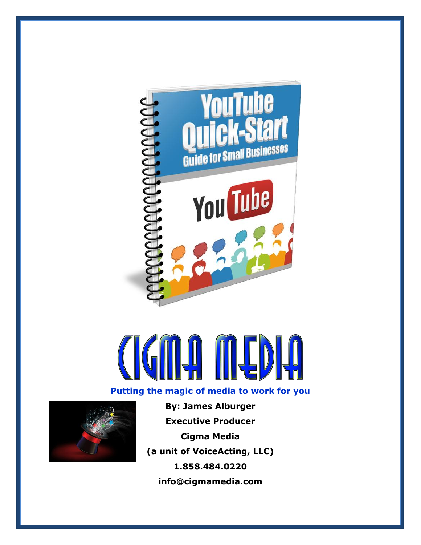

### **Putting the magic of media to work for you**



**By: James Alburger Executive Producer Cigma Media (a unit of VoiceActing, LLC) 1.858.484.0220 info@cigmamedia.com**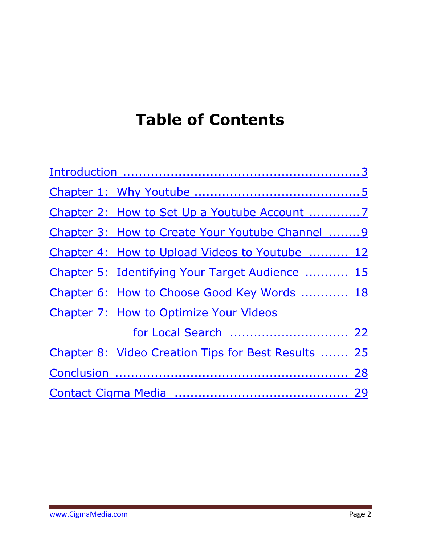# **Table of Contents**

<span id="page-1-0"></span>

| Chapter 3: How to Create Your Youtube Channel  9    |  |  |  |  |  |
|-----------------------------------------------------|--|--|--|--|--|
| Chapter 4: How to Upload Videos to Youtube  12      |  |  |  |  |  |
| Chapter 5: Identifying Your Target Audience  15     |  |  |  |  |  |
| Chapter 6: How to Choose Good Key Words  18         |  |  |  |  |  |
| Chapter 7: How to Optimize Your Videos              |  |  |  |  |  |
|                                                     |  |  |  |  |  |
| Chapter 8: Video Creation Tips for Best Results  25 |  |  |  |  |  |
|                                                     |  |  |  |  |  |
|                                                     |  |  |  |  |  |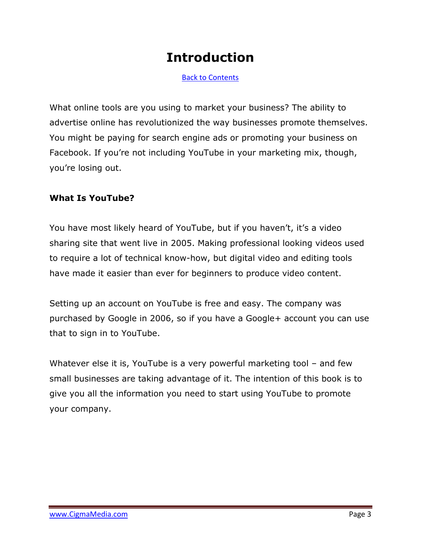### **Introduction**

<span id="page-2-0"></span>[Back to Contents](#page-1-0)

What online tools are you using to market your business? The ability to advertise online has revolutionized the way businesses promote themselves. You might be paying for search engine ads or promoting your business on Facebook. If you're not including YouTube in your marketing mix, though, you're losing out.

#### **What Is YouTube?**

You have most likely heard of YouTube, but if you haven't, it's a video sharing site that went live in 2005. Making professional looking videos used to require a lot of technical know-how, but digital video and editing tools have made it easier than ever for beginners to produce video content.

Setting up an account on YouTube is free and easy. The company was purchased by Google in 2006, so if you have a Google+ account you can use that to sign in to YouTube.

Whatever else it is, YouTube is a very powerful marketing tool – and few small businesses are taking advantage of it. The intention of this book is to give you all the information you need to start using YouTube to promote your company.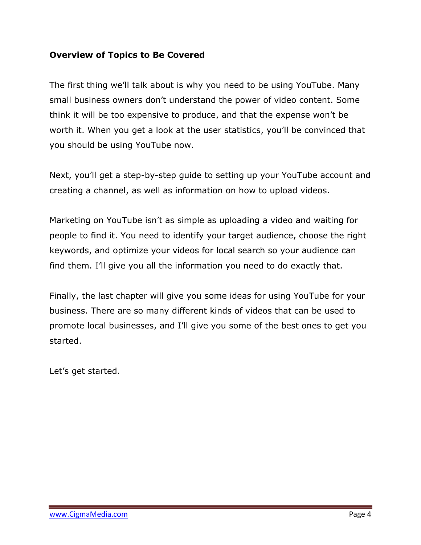#### **Overview of Topics to Be Covered**

The first thing we'll talk about is why you need to be using YouTube. Many small business owners don't understand the power of video content. Some think it will be too expensive to produce, and that the expense won't be worth it. When you get a look at the user statistics, you'll be convinced that you should be using YouTube now.

Next, you'll get a step-by-step guide to setting up your YouTube account and creating a channel, as well as information on how to upload videos.

Marketing on YouTube isn't as simple as uploading a video and waiting for people to find it. You need to identify your target audience, choose the right keywords, and optimize your videos for local search so your audience can find them. I'll give you all the information you need to do exactly that.

Finally, the last chapter will give you some ideas for using YouTube for your business. There are so many different kinds of videos that can be used to promote local businesses, and I'll give you some of the best ones to get you started.

Let's get started.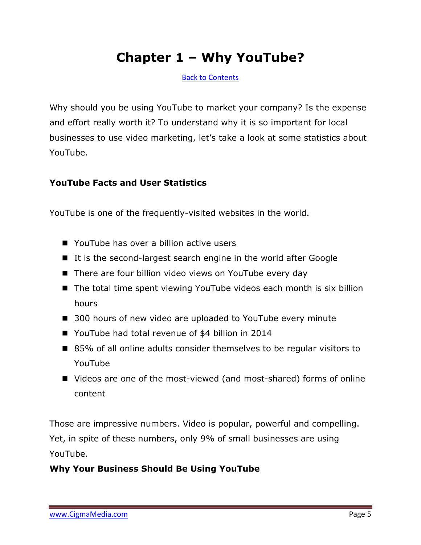### **Chapter 1 – Why YouTube?**

<span id="page-4-0"></span>[Back to Contents](#page-1-0)

Why should you be using YouTube to market your company? Is the expense and effort really worth it? To understand why it is so important for local businesses to use video marketing, let's take a look at some statistics about YouTube.

#### **YouTube Facts and User Statistics**

YouTube is one of the frequently-visited websites in the world.

- YouTube has over a billion active users
- It is the second-largest search engine in the world after Google
- There are four billion video views on YouTube every day
- The total time spent viewing YouTube videos each month is six billion hours
- 300 hours of new video are uploaded to YouTube every minute
- YouTube had total revenue of \$4 billion in 2014
- 85% of all online adults consider themselves to be regular visitors to YouTube
- Videos are one of the most-viewed (and most-shared) forms of online content

Those are impressive numbers. Video is popular, powerful and compelling. Yet, in spite of these numbers, only 9% of small businesses are using YouTube.

#### **Why Your Business Should Be Using YouTube**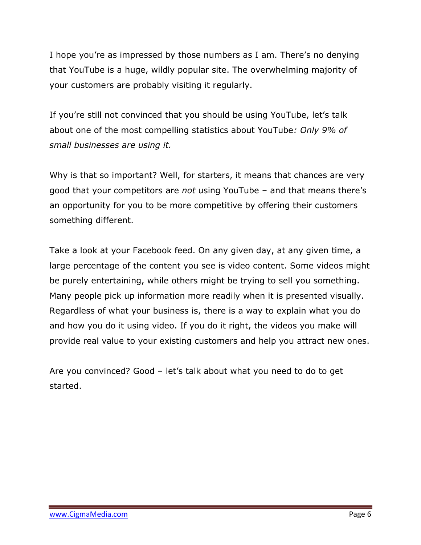I hope you're as impressed by those numbers as I am. There's no denying that YouTube is a huge, wildly popular site. The overwhelming majority of your customers are probably visiting it regularly.

If you're still not convinced that you should be using YouTube, let's talk about one of the most compelling statistics about YouTube*: Only 9% of small businesses are using it.* 

Why is that so important? Well, for starters, it means that chances are very good that your competitors are *not* using YouTube – and that means there's an opportunity for you to be more competitive by offering their customers something different.

Take a look at your Facebook feed. On any given day, at any given time, a large percentage of the content you see is video content. Some videos might be purely entertaining, while others might be trying to sell you something. Many people pick up information more readily when it is presented visually. Regardless of what your business is, there is a way to explain what you do and how you do it using video. If you do it right, the videos you make will provide real value to your existing customers and help you attract new ones.

Are you convinced? Good – let's talk about what you need to do to get started.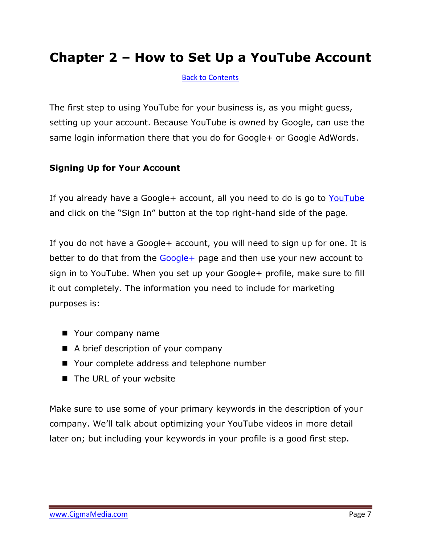### **Chapter 2 – How to Set Up a YouTube Account**

<span id="page-6-0"></span>[Back to Contents](#page-1-0)

The first step to using YouTube for your business is, as you might guess, setting up your account. Because YouTube is owned by Google, can use the same login information there that you do for Google+ or Google AdWords.

#### **Signing Up for Your Account**

If you already have a Google+ account, all you need to do is go to [YouTube](http://www.youtube.com/) and click on the "Sign In" button at the top right-hand side of the page.

If you do not have a Google+ account, you will need to sign up for one. It is better to do that from the [Google+](http://plus.google.com/) page and then use your new account to sign in to YouTube. When you set up your Google+ profile, make sure to fill it out completely. The information you need to include for marketing purposes is:

- Your company name
- A brief description of your company
- Your complete address and telephone number
- The URL of your website

Make sure to use some of your primary keywords in the description of your company. We'll talk about optimizing your YouTube videos in more detail later on; but including your keywords in your profile is a good first step.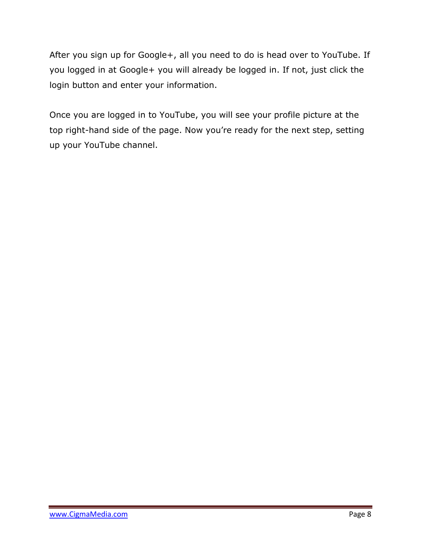After you sign up for Google+, all you need to do is head over to YouTube. If you logged in at Google+ you will already be logged in. If not, just click the login button and enter your information.

Once you are logged in to YouTube, you will see your profile picture at the top right-hand side of the page. Now you're ready for the next step, setting up your YouTube channel.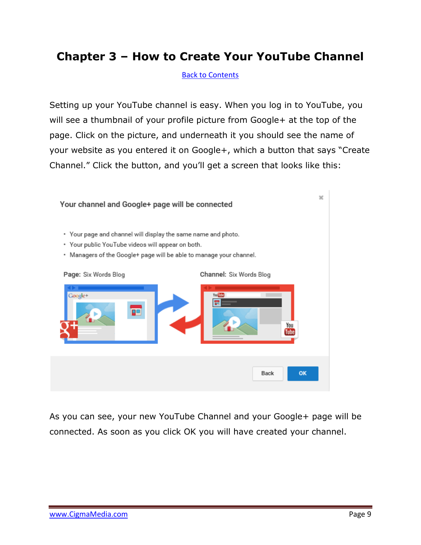### **Chapter 3 – How to Create Your YouTube Channel**

<span id="page-8-0"></span>[Back to Contents](#page-1-0)

Setting up your YouTube channel is easy. When you log in to YouTube, you will see a thumbnail of your profile picture from Google+ at the top of the page. Click on the picture, and underneath it you should see the name of your website as you entered it on Google+, which a button that says "Create Channel." Click the button, and you'll get a screen that looks like this:



As you can see, your new YouTube Channel and your Google+ page will be connected. As soon as you click OK you will have created your channel.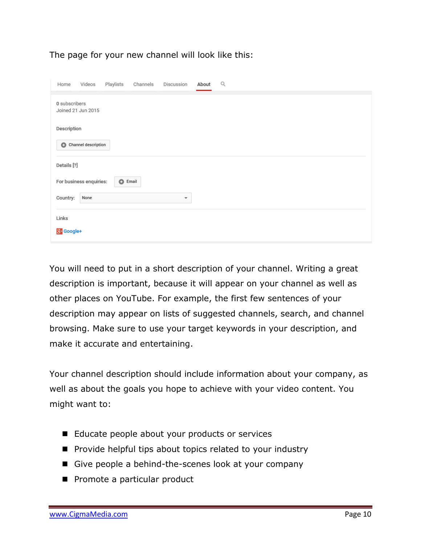#### The page for your new channel will look like this:

| Home                                       | Videos                        | Playlists | Channels | Discussion              | About | Q |  |
|--------------------------------------------|-------------------------------|-----------|----------|-------------------------|-------|---|--|
| 0 subscribers<br>Joined 21 Jun 2015        |                               |           |          |                         |       |   |  |
| Description                                |                               |           |          |                         |       |   |  |
|                                            | $\bullet$ Channel description |           |          |                         |       |   |  |
| Details [?]                                |                               |           |          |                         |       |   |  |
| For business enquiries:<br>$\bullet$ Email |                               |           |          |                         |       |   |  |
| Country:                                   | None                          |           |          | $\overline{\mathbf{v}}$ |       |   |  |
| Links                                      |                               |           |          |                         |       |   |  |
| <b>g</b> + Google+                         |                               |           |          |                         |       |   |  |

You will need to put in a short description of your channel. Writing a great description is important, because it will appear on your channel as well as other places on YouTube. For example, the first few sentences of your description may appear on lists of suggested channels, search, and channel browsing. Make sure to use your target keywords in your description, and make it accurate and entertaining.

Your channel description should include information about your company, as well as about the goals you hope to achieve with your video content. You might want to:

- Educate people about your products or services
- **Perovide helpful tips about topics related to your industry**
- Give people a behind-the-scenes look at your company
- Promote a particular product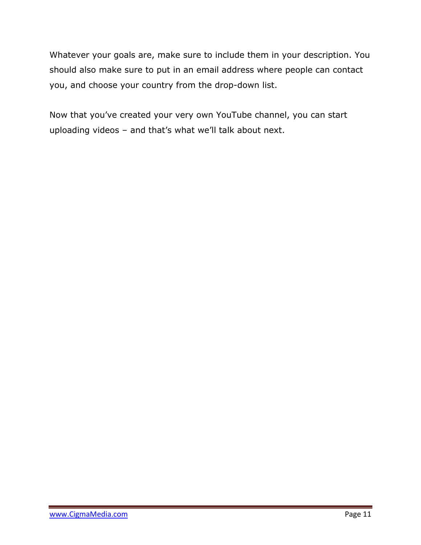Whatever your goals are, make sure to include them in your description. You should also make sure to put in an email address where people can contact you, and choose your country from the drop-down list.

Now that you've created your very own YouTube channel, you can start uploading videos – and that's what we'll talk about next.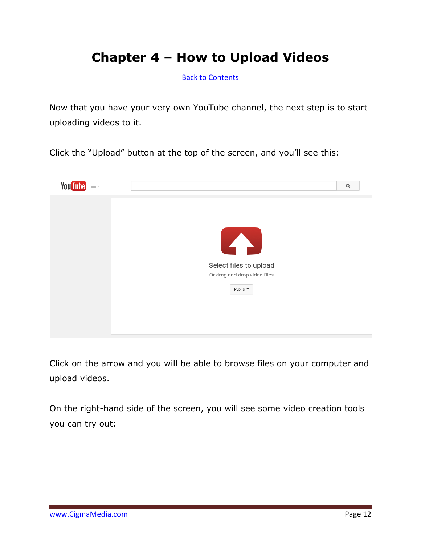### **Chapter 4 – How to Upload Videos**

<span id="page-11-0"></span>[Back to Contents](#page-1-0)

Now that you have your very own YouTube channel, the next step is to start uploading videos to it.

Click the "Upload" button at the top of the screen, and you'll see this:



Click on the arrow and you will be able to browse files on your computer and upload videos.

On the right-hand side of the screen, you will see some video creation tools you can try out: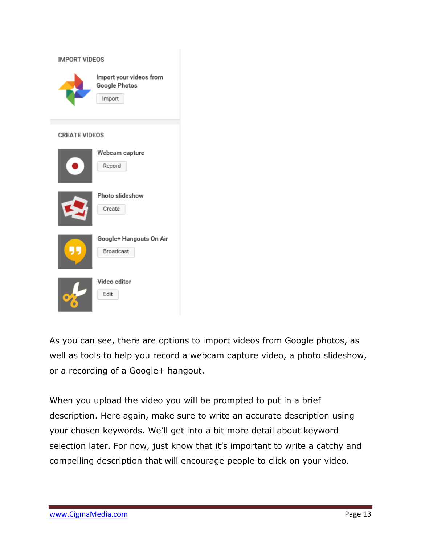| <b>IMPORT VIDEOS</b> |                                                    |  |  |  |  |  |
|----------------------|----------------------------------------------------|--|--|--|--|--|
|                      | Import your videos from<br>Google Photos<br>Import |  |  |  |  |  |
| <b>CREATE VIDEOS</b> |                                                    |  |  |  |  |  |
|                      | Webcam capture<br>Record                           |  |  |  |  |  |
|                      | Photo slideshow<br>Create                          |  |  |  |  |  |
|                      | Google+ Hangouts On Air<br>Broadcast               |  |  |  |  |  |
| $\bullet$            | Video editor<br>Edit                               |  |  |  |  |  |

As you can see, there are options to import videos from Google photos, as well as tools to help you record a webcam capture video, a photo slideshow, or a recording of a Google+ hangout.

When you upload the video you will be prompted to put in a brief description. Here again, make sure to write an accurate description using your chosen keywords. We'll get into a bit more detail about keyword selection later. For now, just know that it's important to write a catchy and compelling description that will encourage people to click on your video.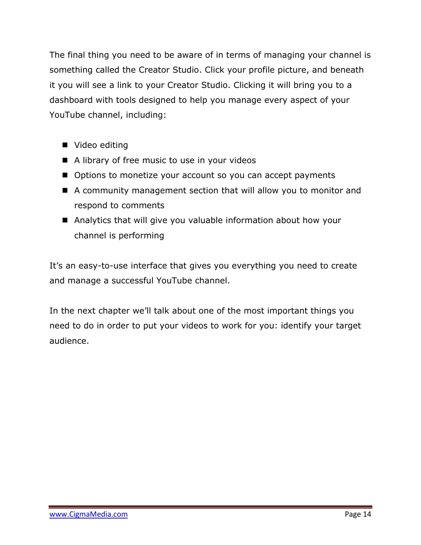The final thing you need to be aware of in terms of managing your channel is something called the Creator Studio. Click your profile picture, and beneath it you will see a link to your Creator Studio. Clicking it will bring you to a dashboard with tools designed to help you manage every aspect of your YouTube channel, including:

- Video editing
- A library of free music to use in your videos
- Options to monetize your account so you can accept payments
- A community management section that will allow you to monitor and respond to comments
- Analytics that will give you valuable information about how your channel is performing

It's an easy-to-use interface that gives you everything you need to create and manage a successful YouTube channel.

In the next chapter we'll talk about one of the most important things you need to do in order to put your videos to work for you: identify your target audience.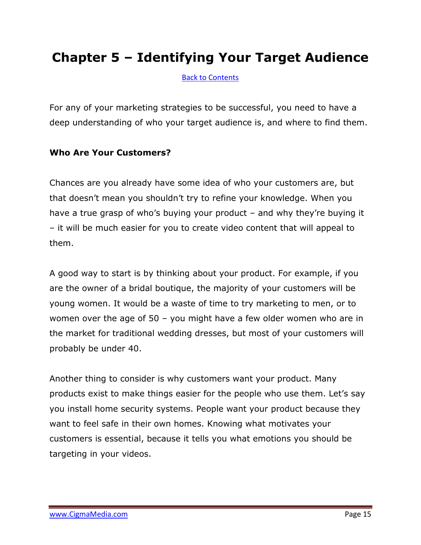### **Chapter 5 – Identifying Your Target Audience**

<span id="page-14-0"></span>[Back to Contents](#page-1-0)

For any of your marketing strategies to be successful, you need to have a deep understanding of who your target audience is, and where to find them.

#### **Who Are Your Customers?**

Chances are you already have some idea of who your customers are, but that doesn't mean you shouldn't try to refine your knowledge. When you have a true grasp of who's buying your product – and why they're buying it – it will be much easier for you to create video content that will appeal to them.

A good way to start is by thinking about your product. For example, if you are the owner of a bridal boutique, the majority of your customers will be young women. It would be a waste of time to try marketing to men, or to women over the age of 50 – you might have a few older women who are in the market for traditional wedding dresses, but most of your customers will probably be under 40.

Another thing to consider is why customers want your product. Many products exist to make things easier for the people who use them. Let's say you install home security systems. People want your product because they want to feel safe in their own homes. Knowing what motivates your customers is essential, because it tells you what emotions you should be targeting in your videos.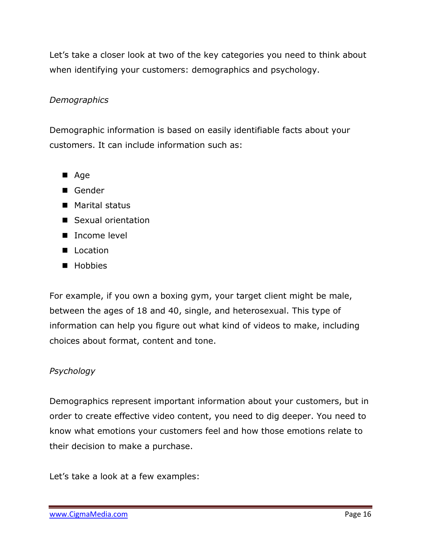Let's take a closer look at two of the key categories you need to think about when identifying your customers: demographics and psychology.

#### *Demographics*

Demographic information is based on easily identifiable facts about your customers. It can include information such as:

- Age
- Gender
- Marital status
- Sexual orientation
- Income level
- **Location**
- **Hobbies**

For example, if you own a boxing gym, your target client might be male, between the ages of 18 and 40, single, and heterosexual. This type of information can help you figure out what kind of videos to make, including choices about format, content and tone.

#### *Psychology*

Demographics represent important information about your customers, but in order to create effective video content, you need to dig deeper. You need to know what emotions your customers feel and how those emotions relate to their decision to make a purchase.

Let's take a look at a few examples: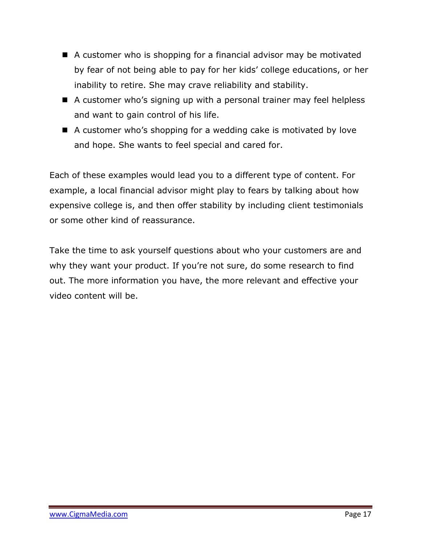- A customer who is shopping for a financial advisor may be motivated by fear of not being able to pay for her kids' college educations, or her inability to retire. She may crave reliability and stability.
- A customer who's signing up with a personal trainer may feel helpless and want to gain control of his life.
- A customer who's shopping for a wedding cake is motivated by love and hope. She wants to feel special and cared for.

Each of these examples would lead you to a different type of content. For example, a local financial advisor might play to fears by talking about how expensive college is, and then offer stability by including client testimonials or some other kind of reassurance.

Take the time to ask yourself questions about who your customers are and why they want your product. If you're not sure, do some research to find out. The more information you have, the more relevant and effective your video content will be.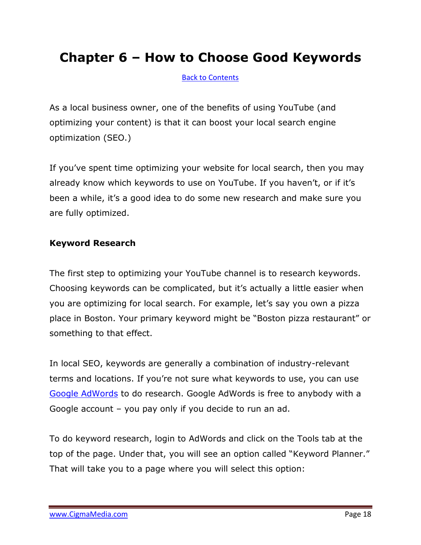### **Chapter 6 – How to Choose Good Keywords**

<span id="page-17-0"></span>[Back to Contents](#page-1-0)

As a local business owner, one of the benefits of using YouTube (and optimizing your content) is that it can boost your local search engine optimization (SEO.)

If you've spent time optimizing your website for local search, then you may already know which keywords to use on YouTube. If you haven't, or if it's been a while, it's a good idea to do some new research and make sure you are fully optimized.

#### **Keyword Research**

The first step to optimizing your YouTube channel is to research keywords. Choosing keywords can be complicated, but it's actually a little easier when you are optimizing for local search. For example, let's say you own a pizza place in Boston. Your primary keyword might be "Boston pizza restaurant" or something to that effect.

In local SEO, keywords are generally a combination of industry-relevant terms and locations. If you're not sure what keywords to use, you can use [Google AdWords](http://www.adwords.google.com/) to do research. Google AdWords is free to anybody with a Google account – you pay only if you decide to run an ad.

To do keyword research, login to AdWords and click on the Tools tab at the top of the page. Under that, you will see an option called "Keyword Planner." That will take you to a page where you will select this option: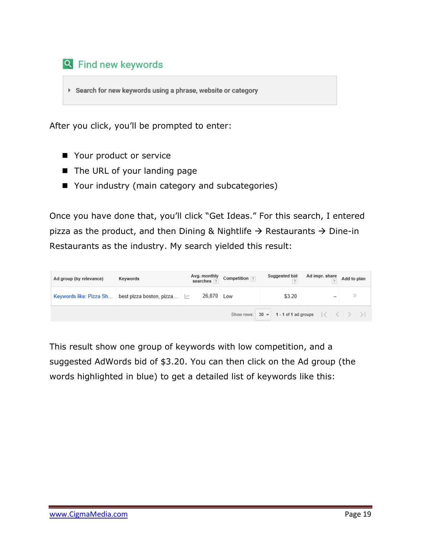

▶ Search for new keywords using a phrase, website or category

After you click, you'll be prompted to enter:

- Your product or service
- The URL of your landing page
- Your industry (main category and subcategories)

Once you have done that, you'll click "Get Ideas." For this search, I entered pizza as the product, and then Dining & Nightlife  $\rightarrow$  Restaurants  $\rightarrow$  Dine-in Restaurants as the industry. My search yielded this result:

| Ad group (by relevance)                                                          | Keywords                                                        |            | Avg. monthly<br>searches $\boxed{?}$ Competition $\boxed{?}$ | Suggested bid | Ad impr. share Add to plan |  |  |  |  |
|----------------------------------------------------------------------------------|-----------------------------------------------------------------|------------|--------------------------------------------------------------|---------------|----------------------------|--|--|--|--|
|                                                                                  | Keywords like: Pizza Sh best pizza boston, pizza $\mathbb{R}^2$ | 26,870 Low |                                                              | \$3.20        |                            |  |  |  |  |
| Show rows: $30 \times 1$ - 1 of 1 ad groups $ \langle \langle \rangle   \rangle$ |                                                                 |            |                                                              |               |                            |  |  |  |  |

This result show one group of keywords with low competition, and a suggested AdWords bid of \$3.20. You can then click on the Ad group (the words highlighted in blue) to get a detailed list of keywords like this: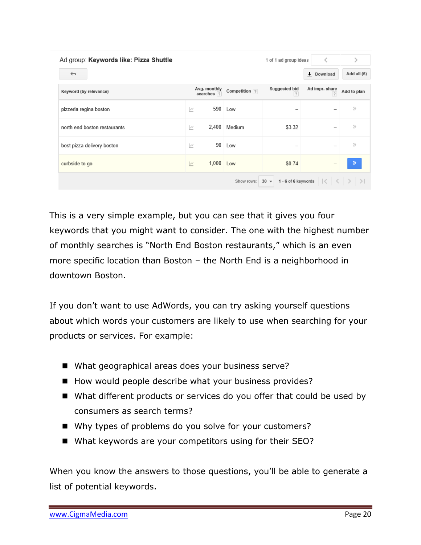| Ad group: Keywords like: Pizza Shuttle                                                          | 1 of 1 ad group ideas      |               |                     |                                  |               |  |  |  |
|-------------------------------------------------------------------------------------------------|----------------------------|---------------|---------------------|----------------------------------|---------------|--|--|--|
| ←                                                                                               |                            |               |                     | Download                         | Add all (6)   |  |  |  |
| Keyword (by relevance)                                                                          | Avg. monthly<br>searches ? | Competition ? | Suggested bid<br> ? | Ad impr. share<br>$\overline{?}$ | Add to plan   |  |  |  |
| pizzeria regina boston                                                                          | $\sim$                     | 590<br>Low    |                     |                                  | $\rangle$     |  |  |  |
| north end boston restaurants                                                                    | M                          | 2,400 Medium  | \$3.32              |                                  | $\rangle$     |  |  |  |
| best pizza delivery boston                                                                      | M                          | 90<br>Low     |                     |                                  | $\rangle$     |  |  |  |
| curbside to go                                                                                  | M                          | 1,000 Low     | \$0.74              |                                  | $\mathcal{P}$ |  |  |  |
| 1 - 6 of 6 keywords $\vert \langle \vert \langle \vert \rangle \rangle$<br>$30 -$<br>Show rows: |                            |               |                     |                                  |               |  |  |  |

This is a very simple example, but you can see that it gives you four keywords that you might want to consider. The one with the highest number of monthly searches is "North End Boston restaurants," which is an even more specific location than Boston – the North End is a neighborhood in downtown Boston.

If you don't want to use AdWords, you can try asking yourself questions about which words your customers are likely to use when searching for your products or services. For example:

- What geographical areas does your business serve?
- How would people describe what your business provides?
- What different products or services do you offer that could be used by consumers as search terms?
- Why types of problems do you solve for your customers?
- What keywords are your competitors using for their SEO?

When you know the answers to those questions, you'll be able to generate a list of potential keywords.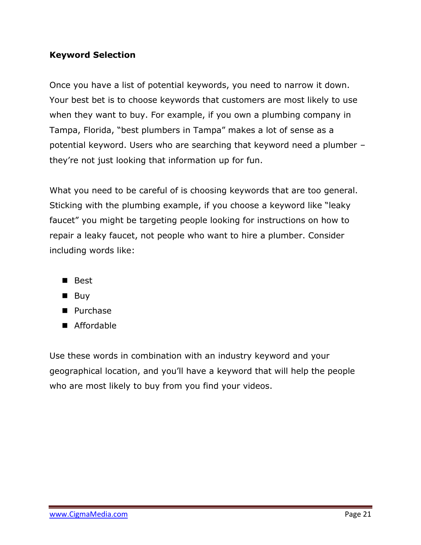#### **Keyword Selection**

Once you have a list of potential keywords, you need to narrow it down. Your best bet is to choose keywords that customers are most likely to use when they want to buy. For example, if you own a plumbing company in Tampa, Florida, "best plumbers in Tampa" makes a lot of sense as a potential keyword. Users who are searching that keyword need a plumber – they're not just looking that information up for fun.

What you need to be careful of is choosing keywords that are too general. Sticking with the plumbing example, if you choose a keyword like "leaky faucet" you might be targeting people looking for instructions on how to repair a leaky faucet, not people who want to hire a plumber. Consider including words like:

- Best
- $\blacksquare$  Buy
- **Purchase**
- Affordable

Use these words in combination with an industry keyword and your geographical location, and you'll have a keyword that will help the people who are most likely to buy from you find your videos.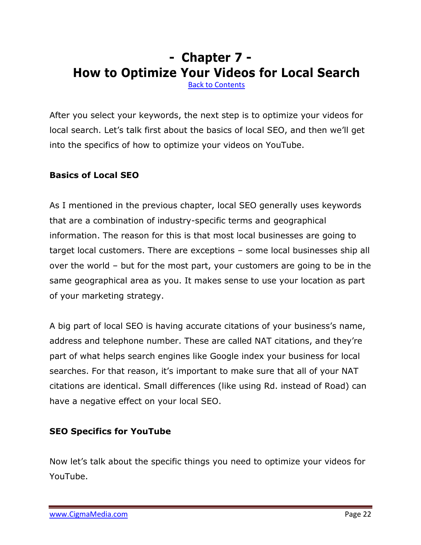## **- Chapter 7 - How to Optimize Your Videos for Local Search**

<span id="page-21-0"></span>[Back to Contents](#page-1-0)

After you select your keywords, the next step is to optimize your videos for local search. Let's talk first about the basics of local SEO, and then we'll get into the specifics of how to optimize your videos on YouTube.

#### **Basics of Local SEO**

As I mentioned in the previous chapter, local SEO generally uses keywords that are a combination of industry-specific terms and geographical information. The reason for this is that most local businesses are going to target local customers. There are exceptions – some local businesses ship all over the world – but for the most part, your customers are going to be in the same geographical area as you. It makes sense to use your location as part of your marketing strategy.

A big part of local SEO is having accurate citations of your business's name, address and telephone number. These are called NAT citations, and they're part of what helps search engines like Google index your business for local searches. For that reason, it's important to make sure that all of your NAT citations are identical. Small differences (like using Rd. instead of Road) can have a negative effect on your local SEO.

#### **SEO Specifics for YouTube**

Now let's talk about the specific things you need to optimize your videos for YouTube.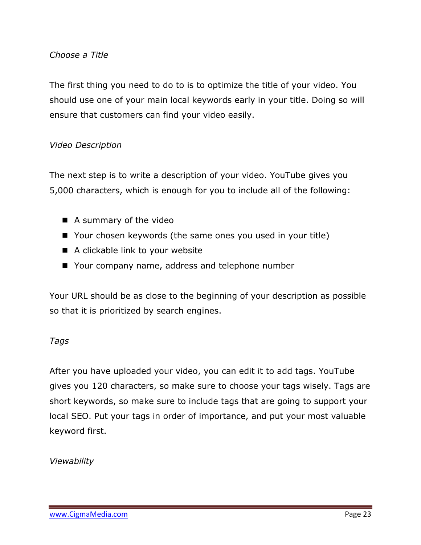#### *Choose a Title*

The first thing you need to do to is to optimize the title of your video. You should use one of your main local keywords early in your title. Doing so will ensure that customers can find your video easily.

#### *Video Description*

The next step is to write a description of your video. YouTube gives you 5,000 characters, which is enough for you to include all of the following:

- A summary of the video
- Your chosen keywords (the same ones you used in your title)
- A clickable link to your website
- Your company name, address and telephone number

Your URL should be as close to the beginning of your description as possible so that it is prioritized by search engines.

#### *Tags*

After you have uploaded your video, you can edit it to add tags. YouTube gives you 120 characters, so make sure to choose your tags wisely. Tags are short keywords, so make sure to include tags that are going to support your local SEO. Put your tags in order of importance, and put your most valuable keyword first.

*Viewability*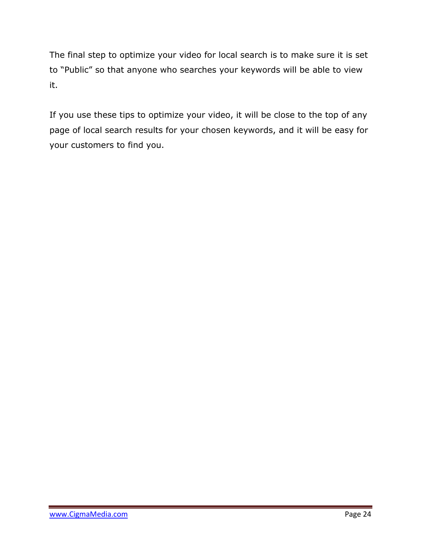The final step to optimize your video for local search is to make sure it is set to "Public" so that anyone who searches your keywords will be able to view it.

If you use these tips to optimize your video, it will be close to the top of any page of local search results for your chosen keywords, and it will be easy for your customers to find you.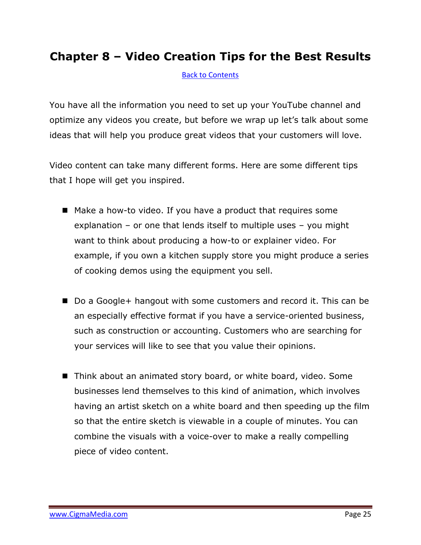### **Chapter 8 – Video Creation Tips for the Best Results**

<span id="page-24-0"></span>[Back to Contents](#page-1-0)

You have all the information you need to set up your YouTube channel and optimize any videos you create, but before we wrap up let's talk about some ideas that will help you produce great videos that your customers will love.

Video content can take many different forms. Here are some different tips that I hope will get you inspired.

- Make a how-to video. If you have a product that requires some explanation – or one that lends itself to multiple uses – you might want to think about producing a how-to or explainer video. For example, if you own a kitchen supply store you might produce a series of cooking demos using the equipment you sell.
- Do a Google+ hangout with some customers and record it. This can be an especially effective format if you have a service-oriented business, such as construction or accounting. Customers who are searching for your services will like to see that you value their opinions.
- Think about an animated story board, or white board, video. Some businesses lend themselves to this kind of animation, which involves having an artist sketch on a white board and then speeding up the film so that the entire sketch is viewable in a couple of minutes. You can combine the visuals with a voice-over to make a really compelling piece of video content.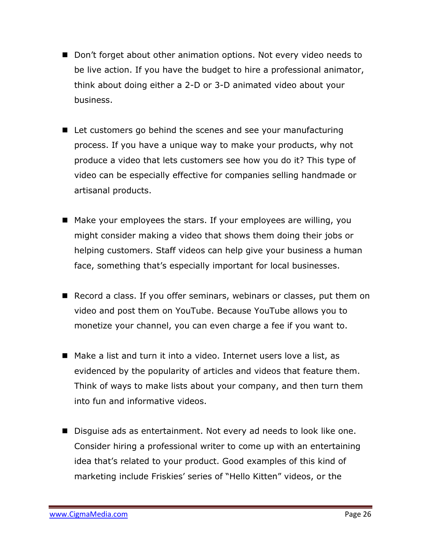- Don't forget about other animation options. Not every video needs to be live action. If you have the budget to hire a professional animator, think about doing either a 2-D or 3-D animated video about your business.
- Let customers go behind the scenes and see your manufacturing process. If you have a unique way to make your products, why not produce a video that lets customers see how you do it? This type of video can be especially effective for companies selling handmade or artisanal products.
- Make your employees the stars. If your employees are willing, you might consider making a video that shows them doing their jobs or helping customers. Staff videos can help give your business a human face, something that's especially important for local businesses.
- Record a class. If you offer seminars, webinars or classes, put them on video and post them on YouTube. Because YouTube allows you to monetize your channel, you can even charge a fee if you want to.
- Make a list and turn it into a video. Internet users love a list, as evidenced by the popularity of articles and videos that feature them. Think of ways to make lists about your company, and then turn them into fun and informative videos.
- Disquise ads as entertainment. Not every ad needs to look like one. Consider hiring a professional writer to come up with an entertaining idea that's related to your product. Good examples of this kind of marketing include Friskies' series of "Hello Kitten" videos, or the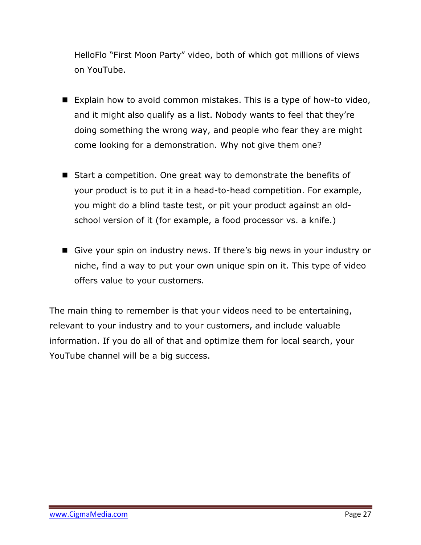HelloFlo "First Moon Party" video, both of which got millions of views on YouTube.

- Explain how to avoid common mistakes. This is a type of how-to video, and it might also qualify as a list. Nobody wants to feel that they're doing something the wrong way, and people who fear they are might come looking for a demonstration. Why not give them one?
- Start a competition. One great way to demonstrate the benefits of your product is to put it in a head-to-head competition. For example, you might do a blind taste test, or pit your product against an oldschool version of it (for example, a food processor vs. a knife.)
- Give your spin on industry news. If there's big news in your industry or niche, find a way to put your own unique spin on it. This type of video offers value to your customers.

The main thing to remember is that your videos need to be entertaining, relevant to your industry and to your customers, and include valuable information. If you do all of that and optimize them for local search, your YouTube channel will be a big success.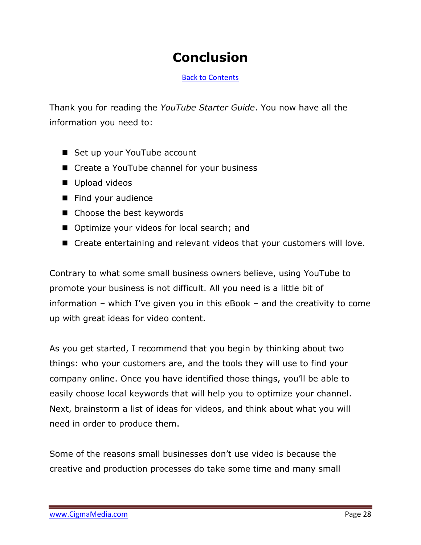### **Conclusion**

<span id="page-27-0"></span>[Back to Contents](#page-1-0)

Thank you for reading the *YouTube Starter Guide*. You now have all the information you need to:

- Set up your YouTube account
- Create a YouTube channel for your business
- Upload videos
- Find your audience
- Choose the best keywords
- Optimize your videos for local search; and
- Create entertaining and relevant videos that your customers will love.

Contrary to what some small business owners believe, using YouTube to promote your business is not difficult. All you need is a little bit of information – which I've given you in this eBook – and the creativity to come up with great ideas for video content.

As you get started, I recommend that you begin by thinking about two things: who your customers are, and the tools they will use to find your company online. Once you have identified those things, you'll be able to easily choose local keywords that will help you to optimize your channel. Next, brainstorm a list of ideas for videos, and think about what you will need in order to produce them.

Some of the reasons small businesses don't use video is because the creative and production processes do take some time and many small